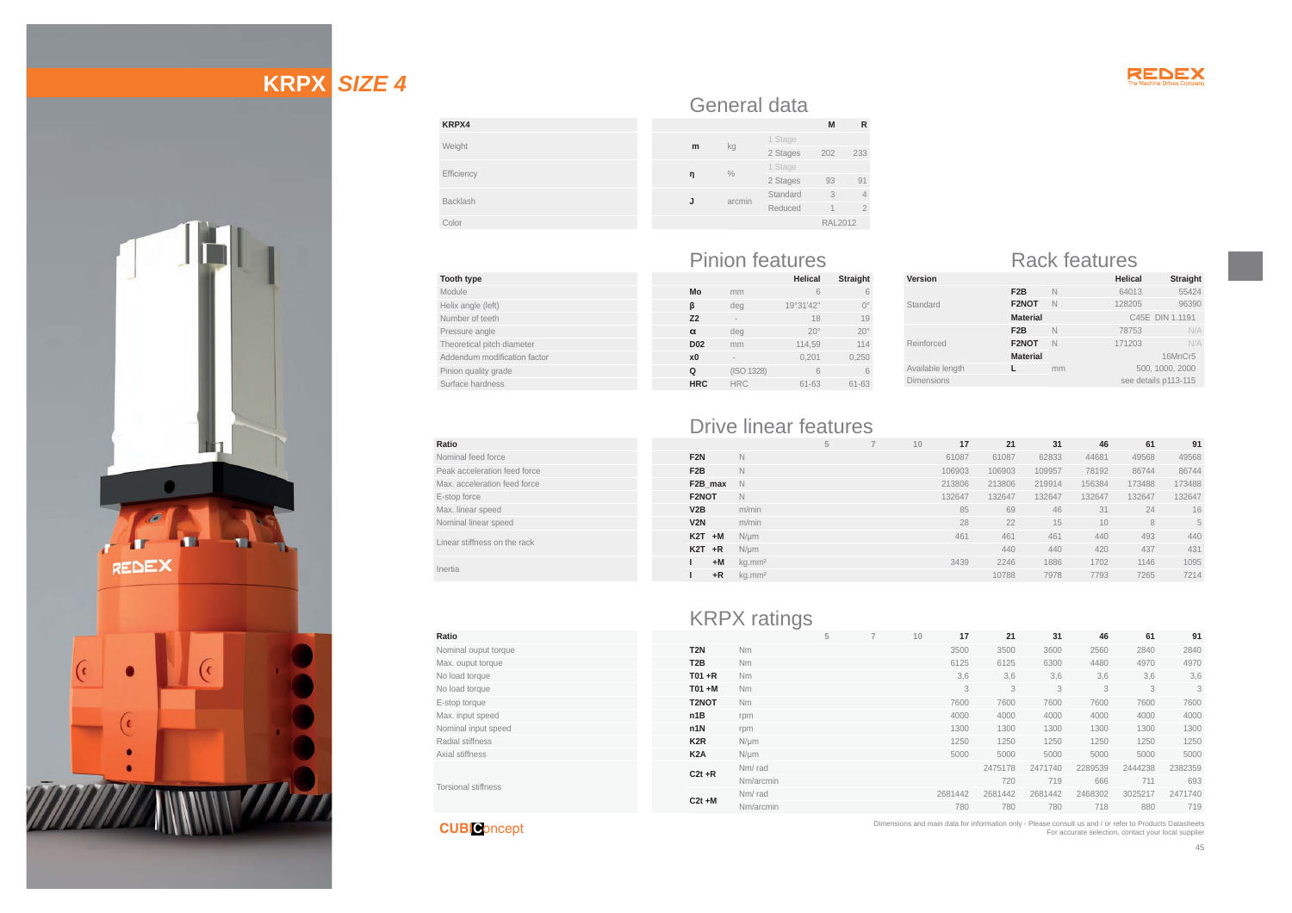

# **KRPX** *SIZE 4*



| KRPX4      |   |
|------------|---|
| Weight     | m |
| Efficiency | n |
| Backlash   |   |
| Color      |   |

| <b>Tooth type</b>            |
|------------------------------|
| Module                       |
| Helix angle (left)           |
| Number of teeth              |
| Pressure angle               |
| Theoretical pitch diameter   |
| Addendum modification factor |
| Pinion quality grade         |
| Surface hardness             |

**Ratio**

**Ratio**

#### Pinion features Rack features **Helical Straight**

kg 1 Stage 202 233

**<sup>Ș</sup>** % 1 Stage 2 Stages <sup>93</sup> <sup>91</sup>

Standard 3 4 Reduced 1 2 RAL2012

General data

arcmin

|                 |            | nelical      | ətralynt    |
|-----------------|------------|--------------|-------------|
| Mo              | mm         | 6            | 6           |
| ß               | deg        | 19°31'42"    | $0^{\circ}$ |
| Z <sub>2</sub>  | -          | 18           | 19          |
| $\alpha$        | deg        | $20^{\circ}$ | $20^\circ$  |
| D <sub>02</sub> | mm         | 114.59       | 114         |
| x <sub>0</sub>  | -          | 0,201        | 0,250       |
| Q               | (ISO 1328) | 6            | 6           |
| <b>HRC</b>      | <b>HRC</b> | $61 - 63$    | $61 - 63$   |
|                 |            |              |             |

| Version           |                  |    | Helical              | <b>Straight</b> |
|-------------------|------------------|----|----------------------|-----------------|
|                   | F <sub>2</sub> B | N  | 64013                | 55424           |
| Standard          | F2NOT            | N  | 128205               | 96390           |
|                   | <b>Material</b>  |    | C45E DIN 1.1191      |                 |
|                   | F <sub>2</sub> B | N  | 78753                | N/A             |
| Reinforced        | F2NOT            | N  | 171203               | N/A             |
|                   | <b>Material</b>  |    |                      | 16MnCr5         |
| Available length  |                  | mm | 500, 1000, 2000      |                 |
| <b>Dimensions</b> |                  |    | see details p113-115 |                 |
|                   |                  |    |                      |                 |

## Drive linear features

| Ratio                        |                  |                    | $\sim$ | 10 <sup>1</sup> | 17     | 21     | 31     | 46     | 61     | 91     |
|------------------------------|------------------|--------------------|--------|-----------------|--------|--------|--------|--------|--------|--------|
| Nominal feed force           | F <sub>2N</sub>  | N                  |        |                 | 61087  | 61087  | 62833  | 44681  | 49568  | 49568  |
| Peak acceleration feed force | F <sub>2</sub> B | N                  |        |                 | 106903 | 106903 | 109957 | 78192  | 86744  | 86744  |
| Max, acceleration feed force | F2B max          | N.                 |        |                 | 213806 | 213806 | 219914 | 156384 | 173488 | 173488 |
| E-stop force                 | F2NOT            | N                  |        |                 | 132647 | 132647 | 132647 | 132647 | 132647 | 132647 |
| Max. linear speed            | V2B              | m/min              |        |                 | 85     | 69     | 46     | 31     | 24     | 16     |
| Nominal linear speed         | V2N              | m/min              |        |                 | 28     | 22     | 15     | 10     | 8      | 5      |
| Linear stiffness on the rack | $K2T + M$        | $N/\mu m$          |        |                 | 461    | 461    | 461    | 440    | 493    | 440    |
|                              | $K2T + R$        | $N/\mu m$          |        |                 |        | 440    | 440    | 420    | 437    | 431    |
| Inertia                      | $+M$             | kg.mm <sup>2</sup> |        |                 | 3439   | 2246   | 1886   | 1702   | 1146   | 1095   |
|                              | $+R$             | kg.mm <sup>2</sup> |        |                 |        | 10788  | 7978   | 7793   | 7265   | 7214   |

**M R**

|                      |                  | <b>KRPX</b> ratings |   |    |         |         |         |         |         |         |
|----------------------|------------------|---------------------|---|----|---------|---------|---------|---------|---------|---------|
| Ratio                |                  |                     | 5 | 10 | 17      | 21      | 31      | 46      | 61      | 91      |
| Nominal ouput torque | T <sub>2N</sub>  | Nm                  |   |    | 3500    | 3500    | 3600    | 2560    | 2840    | 2840    |
| Max. ouput torque    | T <sub>2</sub> B | <b>Nm</b>           |   |    | 6125    | 6125    | 6300    | 4480    | 4970    | 4970    |
| No load torque       | $T01 + R$        | Nm                  |   |    | 3.6     | 3.6     | 3.6     | 3,6     | 3,6     | 3,6     |
| No load torque       | $TO1 + M$        | <b>Nm</b>           |   |    | 3       | 3       | 3       | 3       | 3       | 3       |
| E-stop torque        | T2NOT            | Nm                  |   |    | 7600    | 7600    | 7600    | 7600    | 7600    | 7600    |
| Max. input speed     | n1B              | rpm                 |   |    | 4000    | 4000    | 4000    | 4000    | 4000    | 4000    |
| Nominal input speed  | n1N              | rpm                 |   |    | 1300    | 1300    | 1300    | 1300    | 1300    | 1300    |
| Radial stiffness     | K <sub>2</sub> R | $N/\mu m$           |   |    | 1250    | 1250    | 1250    | 1250    | 1250    | 1250    |
| Axial stiffness      | K <sub>2</sub> A | $N/\mu m$           |   |    | 5000    | 5000    | 5000    | 5000    | 5000    | 5000    |
|                      | $C2t + R$        | Nm/rad              |   |    |         | 2475178 | 2471740 | 2289539 | 2444238 | 2382359 |
| Torsional stiffness  |                  | Nm/arcmin           |   |    |         | 720     | 719     | 666     | 711     | 693     |
|                      | $C2t + M$        | Nm/rad              |   |    | 2681442 | 2681442 | 2681442 | 2468302 | 3025217 | 2471740 |
|                      |                  | Nm/arcmin           |   |    | 780     | 780     | 780     | 718     | 880     | 719     |

**CUBI C**oncept

Dimensions and main data for information only - Please consult us and / or refer to Products Datasheets For accurate selection, contact your local supplier